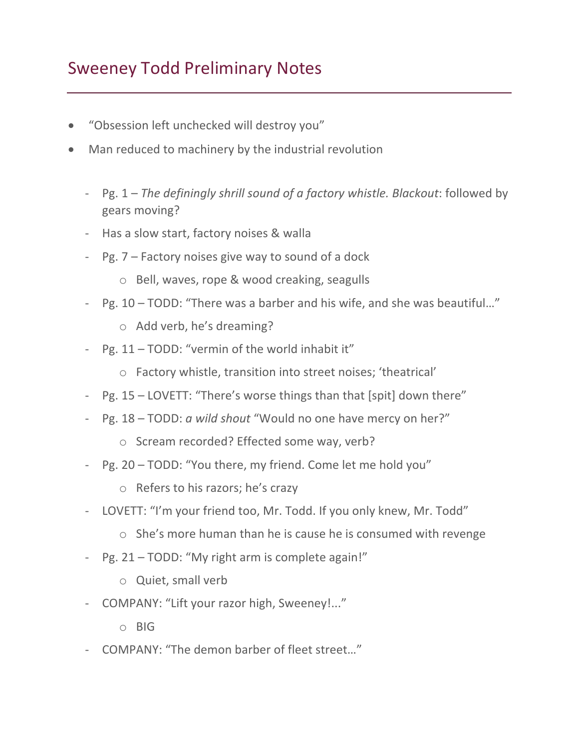## Sweeney Todd Preliminary Notes

- "Obsession left unchecked will destroy you"
- Man reduced to machinery by the industrial revolution
	- Pg. 1 *The definingly shrill sound of a factory whistle. Blackout*: followed by gears moving?
	- Has a slow start, factory noises & walla
	- Pg. 7 Factory noises give way to sound of a dock
		- o Bell, waves, rope & wood creaking, seagulls
	- Pg. 10 TODD: "There was a barber and his wife, and she was beautiful…"
		- o Add verb, he's dreaming?
	- Pg. 11 TODD: "vermin of the world inhabit it"
		- o Factory whistle, transition into street noises; 'theatrical'
	- Pg. 15 LOVETT: "There's worse things than that [spit] down there"
	- Pg. 18 TODD: *a wild shout* "Would no one have mercy on her?"
		- o Scream recorded? Effected some way, verb?
	- Pg. 20 TODD: "You there, my friend. Come let me hold you"
		- o Refers to his razors; he's crazy
	- LOVETT: "I'm your friend too, Mr. Todd. If you only knew, Mr. Todd"
		- o She's more human than he is cause he is consumed with revenge
	- Pg. 21 TODD: "My right arm is complete again!"
		- o Quiet, small verb
	- COMPANY: "Lift your razor high, Sweeney!..."
		- $\circ$  BIG
	- COMPANY: "The demon barber of fleet street…"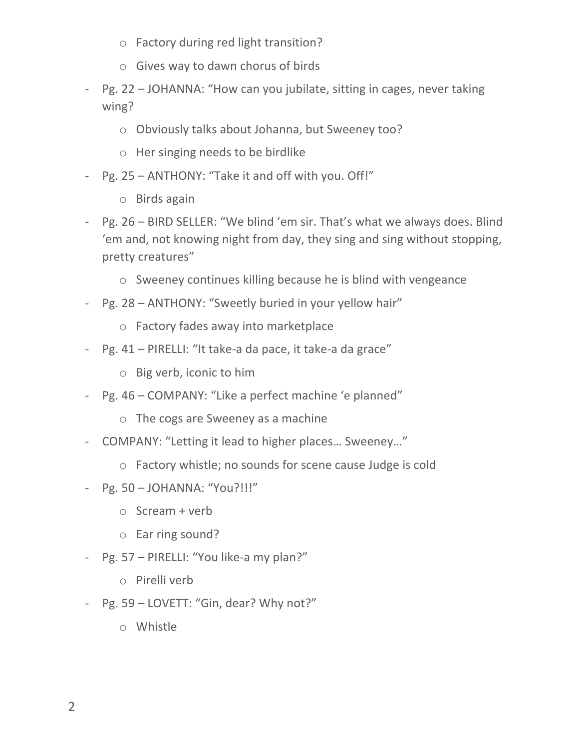- o Factory during red light transition?
- o Gives way to dawn chorus of birds
- Pg. 22 JOHANNA: "How can you jubilate, sitting in cages, never taking wing?
	- o Obviously talks about Johanna, but Sweeney too?
	- o Her singing needs to be birdlike
- Pg. 25 ANTHONY: "Take it and off with you. Off!"
	- o Birds again
- Pg. 26 BIRD SELLER: "We blind 'em sir. That's what we always does. Blind 'em and, not knowing night from day, they sing and sing without stopping, pretty creatures"
	- o Sweeney continues killing because he is blind with vengeance
- Pg. 28 ANTHONY: "Sweetly buried in your yellow hair"
	- o Factory fades away into marketplace
- Pg. 41 PIRELLI: "It take-a da pace, it take-a da grace"
	- o Big verb, iconic to him
- Pg. 46 COMPANY: "Like a perfect machine 'e planned"
	- o The cogs are Sweeney as a machine
- COMPANY: "Letting it lead to higher places… Sweeney…"
	- o Factory whistle; no sounds for scene cause Judge is cold
- Pg. 50 JOHANNA: "You?!!!"
	- o Scream + verb
	- o Ear ring sound?
- Pg. 57 PIRELLI: "You like-a my plan?"
	- o Pirelli verb
- Pg. 59 LOVETT: "Gin, dear? Why not?"
	- o Whistle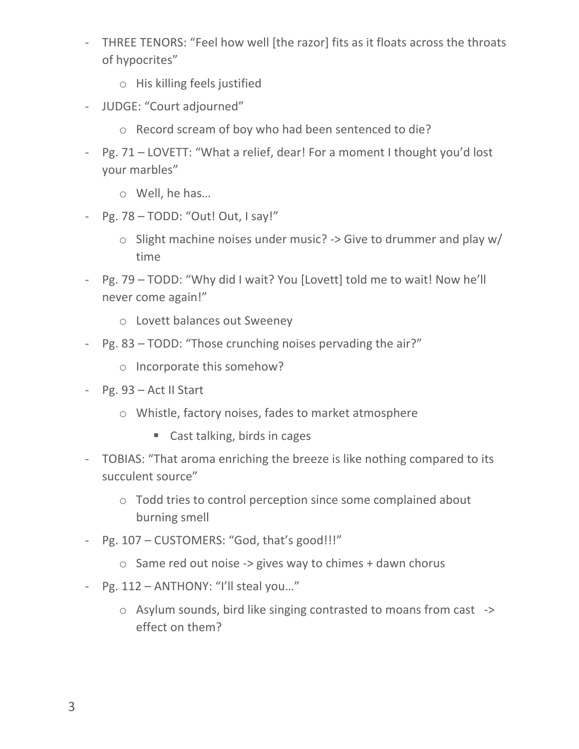- THREE TENORS: "Feel how well [the razor] fits as it floats across the throats of hypocrites"
	- o His killing feels justified
- JUDGE: "Court adjourned"
	- o Record scream of boy who had been sentenced to die?
- Pg. 71 LOVETT: "What a relief, dear! For a moment I thought you'd lost your marbles"
	- o Well, he has…
- Pg. 78 TODD: "Out! Out, I say!"
	- o Slight machine noises under music? -> Give to drummer and play w/ time
- Pg. 79 TODD: "Why did I wait? You [Lovett] told me to wait! Now he'll never come again!"
	- o Lovett balances out Sweeney
- Pg. 83 TODD: "Those crunching noises pervading the air?"
	- o Incorporate this somehow?
- Pg. 93 Act II Start
	- o Whistle, factory noises, fades to market atmosphere
		- Cast talking, birds in cages
- TOBIAS: "That aroma enriching the breeze is like nothing compared to its succulent source"
	- o Todd tries to control perception since some complained about burning smell
- Pg. 107 CUSTOMERS: "God, that's good!!!"
	- $\circ$  Same red out noise -> gives way to chimes + dawn chorus
- Pg. 112 ANTHONY: "I'll steal you…"
	- o Asylum sounds, bird like singing contrasted to moans from cast -> effect on them?